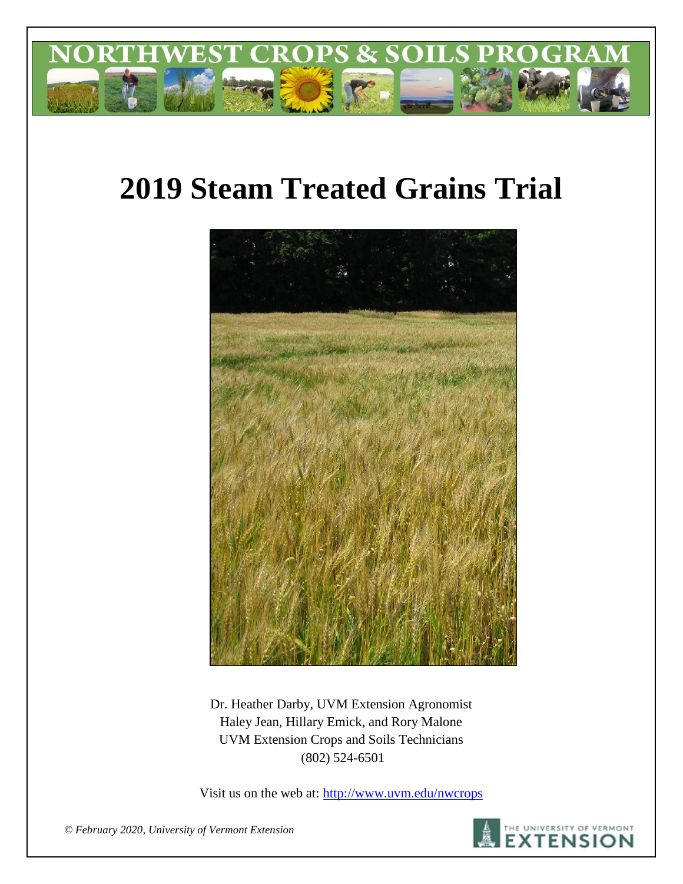

# **2019 Steam Treated Grains Trial**



Dr. Heather Darby, UVM Extension Agronomist Haley Jean, Hillary Emick, and Rory Malone UVM Extension Crops and Soils Technicians (802) 524-6501

Visit us on the web at:<http://www.uvm.edu/nwcrops>



*© February 2020, University of Vermont Extension*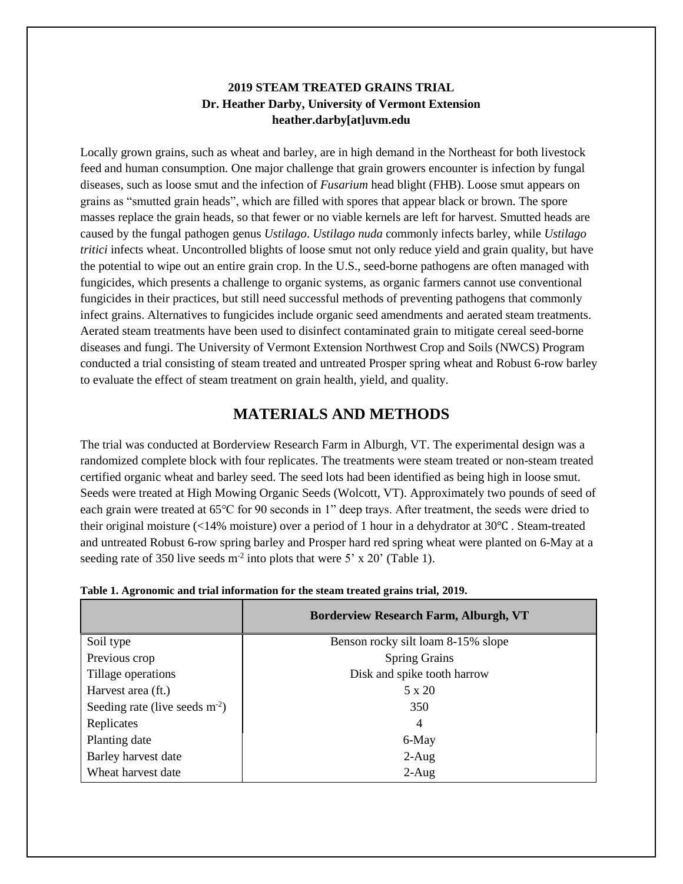## **2019 STEAM TREATED GRAINS TRIAL Dr. Heather Darby, University of Vermont Extension heather.darby[at]uvm.edu**

Locally grown grains, such as wheat and barley, are in high demand in the Northeast for both livestock feed and human consumption. One major challenge that grain growers encounter is infection by fungal diseases, such as loose smut and the infection of *Fusarium* head blight (FHB). Loose smut appears on grains as "smutted grain heads", which are filled with spores that appear black or brown. The spore masses replace the grain heads, so that fewer or no viable kernels are left for harvest. Smutted heads are caused by the fungal pathogen genus *Ustilago*. *Ustilago nuda* commonly infects barley, while *Ustilago tritici* infects wheat. Uncontrolled blights of loose smut not only reduce yield and grain quality, but have the potential to wipe out an entire grain crop. In the U.S., seed-borne pathogens are often managed with fungicides, which presents a challenge to organic systems, as organic farmers cannot use conventional fungicides in their practices, but still need successful methods of preventing pathogens that commonly infect grains. Alternatives to fungicides include organic seed amendments and aerated steam treatments. Aerated steam treatments have been used to disinfect contaminated grain to mitigate cereal seed-borne diseases and fungi. The University of Vermont Extension Northwest Crop and Soils (NWCS) Program conducted a trial consisting of steam treated and untreated Prosper spring wheat and Robust 6-row barley to evaluate the effect of steam treatment on grain health, yield, and quality.

# **MATERIALS AND METHODS**

The trial was conducted at Borderview Research Farm in Alburgh, VT. The experimental design was a randomized complete block with four replicates. The treatments were steam treated or non-steam treated certified organic wheat and barley seed. The seed lots had been identified as being high in loose smut. Seeds were treated at High Mowing Organic Seeds (Wolcott, VT). Approximately two pounds of seed of each grain were treated at 65℃ for 90 seconds in 1" deep trays. After treatment, the seeds were dried to their original moisture (<14% moisture) over a period of 1 hour in a dehydrator at 30℃ . Steam-treated and untreated Robust 6-row spring barley and Prosper hard red spring wheat were planted on 6-May at a seeding rate of 350 live seeds  $m<sup>2</sup>$  into plots that were 5' x 20' (Table 1).

|                                 | <b>Borderview Research Farm, Alburgh, VT</b> |
|---------------------------------|----------------------------------------------|
| Soil type                       | Benson rocky silt loam 8-15% slope           |
| Previous crop                   | <b>Spring Grains</b>                         |
| Tillage operations              | Disk and spike tooth harrow                  |
| Harvest area (ft.)              | 5 x 20                                       |
| Seeding rate (live seeds $m2$ ) | 350                                          |
| Replicates                      | 4                                            |
| Planting date                   | 6-May                                        |
| Barley harvest date             | $2-Aug$                                      |
| Wheat harvest date              | $2-Aug$                                      |

|  | Table 1. Agronomic and trial information for the steam treated grains trial, 2019. |  |  |
|--|------------------------------------------------------------------------------------|--|--|
|  |                                                                                    |  |  |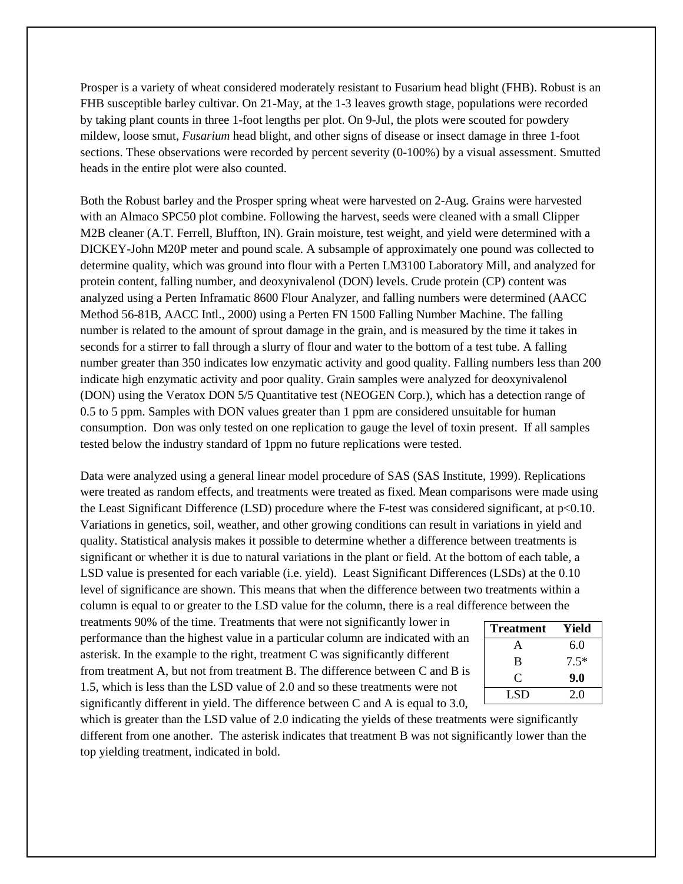Prosper is a variety of wheat considered moderately resistant to Fusarium head blight (FHB). Robust is an FHB susceptible barley cultivar. On 21-May, at the 1-3 leaves growth stage, populations were recorded by taking plant counts in three 1-foot lengths per plot. On 9-Jul, the plots were scouted for powdery mildew, loose smut, *Fusarium* head blight, and other signs of disease or insect damage in three 1-foot sections. These observations were recorded by percent severity (0-100%) by a visual assessment. Smutted heads in the entire plot were also counted.

Both the Robust barley and the Prosper spring wheat were harvested on 2-Aug. Grains were harvested with an Almaco SPC50 plot combine. Following the harvest, seeds were cleaned with a small Clipper M2B cleaner (A.T. Ferrell, Bluffton, IN). Grain moisture, test weight, and yield were determined with a DICKEY-John M20P meter and pound scale. A subsample of approximately one pound was collected to determine quality, which was ground into flour with a Perten LM3100 Laboratory Mill, and analyzed for protein content, falling number, and deoxynivalenol (DON) levels. Crude protein (CP) content was analyzed using a Perten Inframatic 8600 Flour Analyzer, and falling numbers were determined (AACC Method 56-81B, AACC Intl., 2000) using a Perten FN 1500 Falling Number Machine. The falling number is related to the amount of sprout damage in the grain, and is measured by the time it takes in seconds for a stirrer to fall through a slurry of flour and water to the bottom of a test tube. A falling number greater than 350 indicates low enzymatic activity and good quality. Falling numbers less than 200 indicate high enzymatic activity and poor quality. Grain samples were analyzed for deoxynivalenol (DON) using the Veratox DON 5/5 Quantitative test (NEOGEN Corp.), which has a detection range of 0.5 to 5 ppm. Samples with DON values greater than 1 ppm are considered unsuitable for human consumption. Don was only tested on one replication to gauge the level of toxin present. If all samples tested below the industry standard of 1ppm no future replications were tested.

Data were analyzed using a general linear model procedure of SAS (SAS Institute, 1999). Replications were treated as random effects, and treatments were treated as fixed. Mean comparisons were made using the Least Significant Difference (LSD) procedure where the F-test was considered significant, at p<0.10. Variations in genetics, soil, weather, and other growing conditions can result in variations in yield and quality. Statistical analysis makes it possible to determine whether a difference between treatments is significant or whether it is due to natural variations in the plant or field. At the bottom of each table, a LSD value is presented for each variable (i.e. yield). Least Significant Differences (LSDs) at the 0.10 level of significance are shown. This means that when the difference between two treatments within a column is equal to or greater to the LSD value for the column, there is a real difference between the

treatments 90% of the time. Treatments that were not significantly lower in performance than the highest value in a particular column are indicated with an asterisk. In the example to the right, treatment C was significantly different from treatment A, but not from treatment B. The difference between C and B is 1.5, which is less than the LSD value of 2.0 and so these treatments were not significantly different in yield. The difference between C and A is equal to 3.0,

| <b>Treatment</b> | Yield  |
|------------------|--------|
| A                | 6.0    |
| B                | $7.5*$ |
| C                | 9.0    |
| LSD.             | 2.0    |

which is greater than the LSD value of 2.0 indicating the yields of these treatments were significantly different from one another. The asterisk indicates that treatment B was not significantly lower than the top yielding treatment, indicated in bold.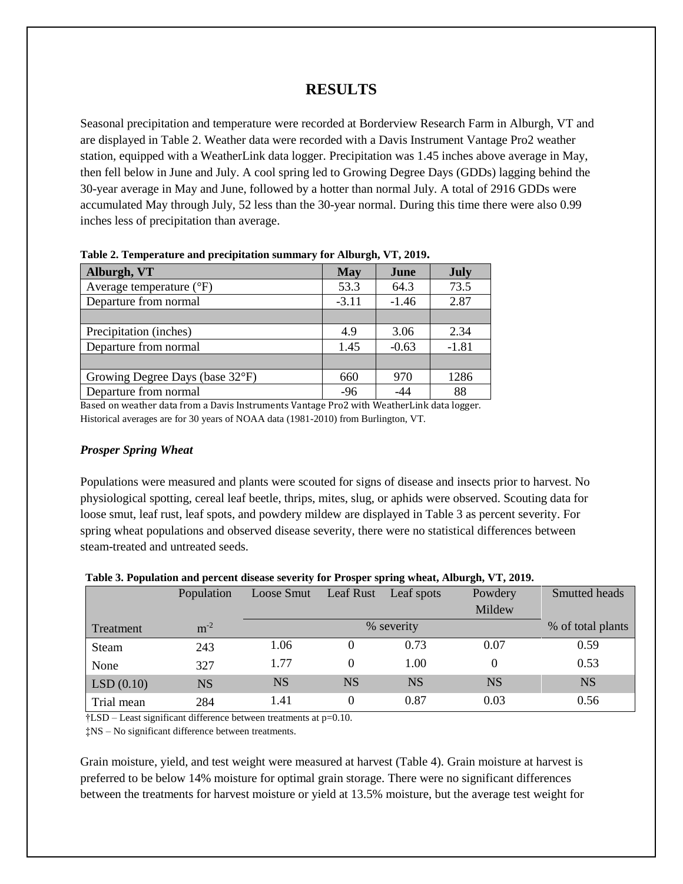## **RESULTS**

Seasonal precipitation and temperature were recorded at Borderview Research Farm in Alburgh, VT and are displayed in Table 2. Weather data were recorded with a Davis Instrument Vantage Pro2 weather station, equipped with a WeatherLink data logger. Precipitation was 1.45 inches above average in May, then fell below in June and July. A cool spring led to Growing Degree Days (GDDs) lagging behind the 30-year average in May and June, followed by a hotter than normal July. A total of 2916 GDDs were accumulated May through July, 52 less than the 30-year normal. During this time there were also 0.99 inches less of precipitation than average.

| Alburgh, VT                       | <b>May</b> | June    | <b>July</b> |  |  |  |  |  |
|-----------------------------------|------------|---------|-------------|--|--|--|--|--|
| Average temperature $(^{\circ}F)$ | 53.3       | 64.3    | 73.5        |  |  |  |  |  |
| Departure from normal             | $-3.11$    | $-1.46$ | 2.87        |  |  |  |  |  |
|                                   |            |         |             |  |  |  |  |  |
| Precipitation (inches)            | 4.9        | 3.06    | 2.34        |  |  |  |  |  |
| Departure from normal             | 1.45       | $-0.63$ | $-1.81$     |  |  |  |  |  |
|                                   |            |         |             |  |  |  |  |  |
| Growing Degree Days (base 32°F)   | 660        | 970     | 1286        |  |  |  |  |  |
| Departure from normal             | $-96$      | $-44$   | 88          |  |  |  |  |  |

**Table 2. Temperature and precipitation summary for Alburgh, VT, 2019.**

Based on weather data from a Davis Instruments Vantage Pro2 with WeatherLink data logger. Historical averages are for 30 years of NOAA data (1981-2010) from Burlington, VT.

#### *Prosper Spring Wheat*

Populations were measured and plants were scouted for signs of disease and insects prior to harvest. No physiological spotting, cereal leaf beetle, thrips, mites, slug, or aphids were observed. Scouting data for loose smut, leaf rust, leaf spots, and powdery mildew are displayed in Table 3 as percent severity. For spring wheat populations and observed disease severity, there were no statistical differences between steam-treated and untreated seeds.

|            | Population | Loose Smut | Leaf Rust | Leaf spots | Powdery   | Smutted heads     |
|------------|------------|------------|-----------|------------|-----------|-------------------|
|            |            |            |           |            | Mildew    |                   |
| Treatment  | $m^{-2}$   |            |           | % severity |           | % of total plants |
| Steam      | 243        | 1.06       | 0         | 0.73       | 0.07      | 0.59              |
| None       | 327        | 1.77       | 0         | 1.00       |           | 0.53              |
| LSD(0.10)  | <b>NS</b>  | <b>NS</b>  | <b>NS</b> | <b>NS</b>  | <b>NS</b> | <b>NS</b>         |
| Trial mean | 284        | 1.41       | 0         | 0.87       | 0.03      | 0.56              |

**Table 3. Population and percent disease severity for Prosper spring wheat, Alburgh, VT, 2019.**

†LSD – Least significant difference between treatments at p=0.10.

‡NS – No significant difference between treatments.

Grain moisture, yield, and test weight were measured at harvest (Table 4). Grain moisture at harvest is preferred to be below 14% moisture for optimal grain storage. There were no significant differences between the treatments for harvest moisture or yield at 13.5% moisture, but the average test weight for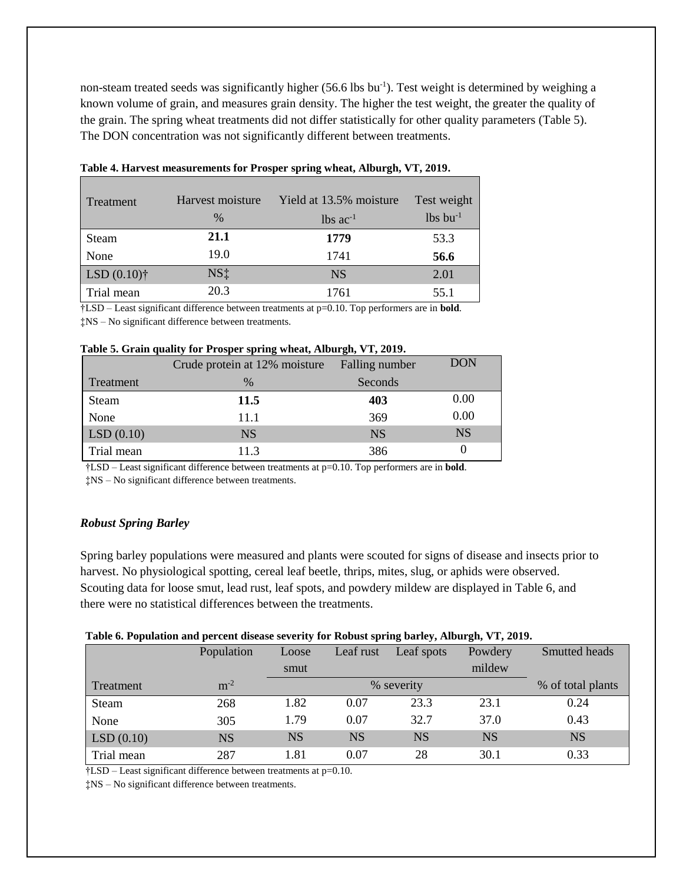non-steam treated seeds was significantly higher (56.6 lbs bu<sup>-1</sup>). Test weight is determined by weighing a known volume of grain, and measures grain density. The higher the test weight, the greater the quality of the grain. The spring wheat treatments did not differ statistically for other quality parameters (Table 5). The DON concentration was not significantly different between treatments.

| Treatment      | Harvest moisture<br>$\%$ | Yield at 13.5% moisture<br>$lbs$ ac <sup>-1</sup> | Test weight<br>$lbs$ bu <sup>-1</sup> |
|----------------|--------------------------|---------------------------------------------------|---------------------------------------|
| Steam          | 21.1                     | 1779                                              | 53.3                                  |
| None           | 19.0                     | 1741                                              | 56.6                                  |
| LSD $(0.10)$ † | $NS+$                    | <b>NS</b>                                         | 2.01                                  |
| Trial mean     | 20.3                     | 1761                                              | 55.1                                  |

**Table 4. Harvest measurements for Prosper spring wheat, Alburgh, VT, 2019.** 

†LSD – Least significant difference between treatments at p=0.10. Top performers are in **bold**.

‡NS – No significant difference between treatments.

|  |  | Table 5. Grain quality for Prosper spring wheat, Alburgh, VT, 2019. |  |  |
|--|--|---------------------------------------------------------------------|--|--|
|  |  |                                                                     |  |  |

|            | Crude protein at 12% moisture | Falling number | DON       |
|------------|-------------------------------|----------------|-----------|
| Treatment  | $\frac{0}{0}$                 | Seconds        |           |
| Steam      | <b>11.5</b>                   | 403            | 0.00      |
| None       | 11.1                          | 369            | 0.00      |
| LSD(0.10)  | <b>NS</b>                     | <b>NS</b>      | <b>NS</b> |
| Trial mean | 11.3                          | 386            |           |

†LSD – Least significant difference between treatments at p=0.10. Top performers are in **bold**.

‡NS – No significant difference between treatments.

### *Robust Spring Barley*

Spring barley populations were measured and plants were scouted for signs of disease and insects prior to harvest. No physiological spotting, cereal leaf beetle, thrips, mites, slug, or aphids were observed. Scouting data for loose smut, lead rust, leaf spots, and powdery mildew are displayed in Table 6, and there were no statistical differences between the treatments.

#### **Table 6. Population and percent disease severity for Robust spring barley, Alburgh, VT, 2019.**

|            | Population | Loose     | Leaf rust | Leaf spots | Powdery   | Smutted heads     |
|------------|------------|-----------|-----------|------------|-----------|-------------------|
|            |            | smut      |           |            | mildew    |                   |
| Treatment  | $m^{-2}$   |           |           | % severity |           | % of total plants |
| Steam      | 268        | 1.82      | 0.07      | 23.3       | 23.1      | 0.24              |
| None       | 305        | 1.79      | 0.07      | 32.7       | 37.0      | 0.43              |
| LSD(0.10)  | <b>NS</b>  | <b>NS</b> | <b>NS</b> | <b>NS</b>  | <b>NS</b> | <b>NS</b>         |
| Trial mean | 287        | 1.81      | 0.07      | 28         | 30.1      | 0.33              |

†LSD – Least significant difference between treatments at p=0.10.

‡NS – No significant difference between treatments.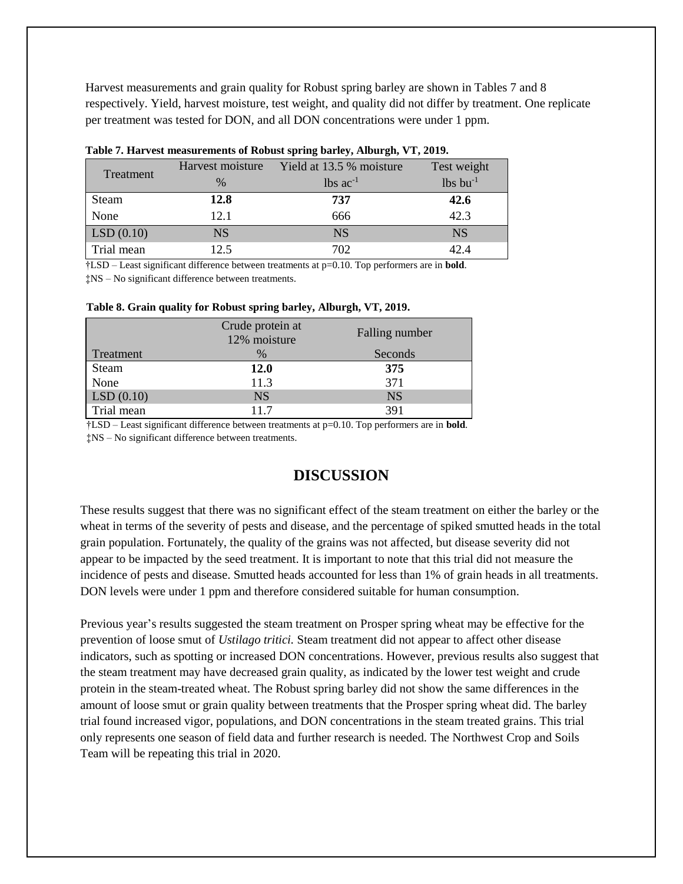Harvest measurements and grain quality for Robust spring barley are shown in Tables 7 and 8 respectively. Yield, harvest moisture, test weight, and quality did not differ by treatment. One replicate per treatment was tested for DON, and all DON concentrations were under 1 ppm.

|            | Harvest moisture | Yield at 13.5 % moisture | Test weight |
|------------|------------------|--------------------------|-------------|
| Treatment  | $\frac{0}{0}$    | $lbs$ ac <sup>-1</sup>   |             |
| Steam      | 12.8             | 737                      | 42.6        |
| None       | 12.1             | 666                      | 42.3        |
| LSD(0.10)  | <b>NS</b>        | <b>NS</b>                | <b>NS</b>   |
| Trial mean | 12.5             | 702                      | 42.4        |

|  | Table 7. Harvest measurements of Robust spring barley, Alburgh, VT, 2019. |  |  |  |  |
|--|---------------------------------------------------------------------------|--|--|--|--|
|  |                                                                           |  |  |  |  |

†LSD – Least significant difference between treatments at p=0.10. Top performers are in **bold**. ‡NS – No significant difference between treatments.

|            | Crude protein at<br>12% moisture | Falling number |
|------------|----------------------------------|----------------|
| Treatment  | $\%$                             | Seconds        |
| Steam      | <b>12.0</b>                      | 375            |
| None       | 11.3                             | 371            |
| LSD(0.10)  | <b>NS</b>                        | <b>NS</b>      |
| Trial mean | 117                              | 391            |

**Table 8. Grain quality for Robust spring barley, Alburgh, VT, 2019.**

†LSD – Least significant difference between treatments at p=0.10. Top performers are in **bold**.

‡NS – No significant difference between treatments.

# **DISCUSSION**

These results suggest that there was no significant effect of the steam treatment on either the barley or the wheat in terms of the severity of pests and disease, and the percentage of spiked smutted heads in the total grain population. Fortunately, the quality of the grains was not affected, but disease severity did not appear to be impacted by the seed treatment. It is important to note that this trial did not measure the incidence of pests and disease. Smutted heads accounted for less than 1% of grain heads in all treatments. DON levels were under 1 ppm and therefore considered suitable for human consumption.

Previous year's results suggested the steam treatment on Prosper spring wheat may be effective for the prevention of loose smut of *Ustilago tritici.* Steam treatment did not appear to affect other disease indicators, such as spotting or increased DON concentrations. However, previous results also suggest that the steam treatment may have decreased grain quality, as indicated by the lower test weight and crude protein in the steam-treated wheat. The Robust spring barley did not show the same differences in the amount of loose smut or grain quality between treatments that the Prosper spring wheat did. The barley trial found increased vigor, populations, and DON concentrations in the steam treated grains. This trial only represents one season of field data and further research is needed. The Northwest Crop and Soils Team will be repeating this trial in 2020.